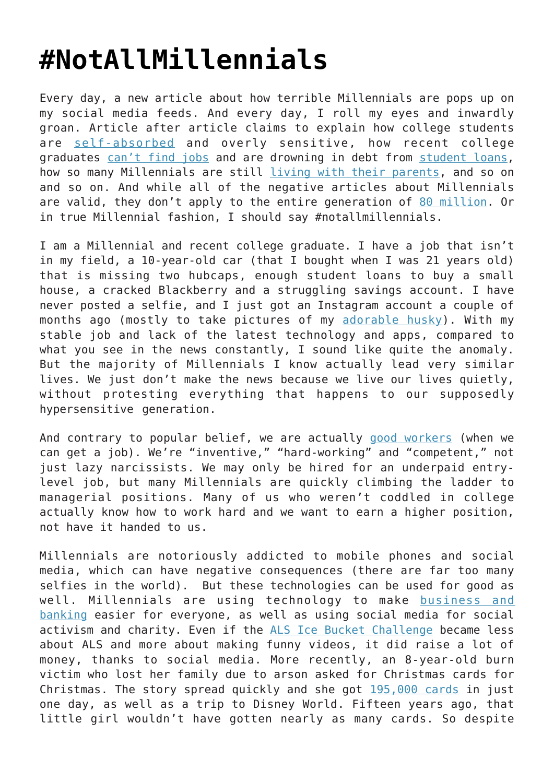## **[#NotAllMillennials](https://intellectualtakeout.org/2015/12/notallmillennials/)**

Every day, a new article about how terrible Millennials are pops up on my social media feeds. And every day, I roll my eyes and inwardly groan. Article after article claims to explain how college students are [self-absorbed](http://www.worldmag.com/2015/12/college_president_s_letter_to_sniveling_students_strikes_a_chord) and overly sensitive, how recent college graduates [can't find jobs](http://www.cnbc.com/2015/12/03/why-are-so-many-millennials-unemployed-commentary.html) and are drowning in debt from [student loans,](http://www.newsobserver.com/news/nation-world/national/article48986390.html) how so many Millennials are still [living with their parents,](http://acculturated.com/millennial-run-future/) and so on and so on. And while all of the negative articles about Millennials are valid, they don't apply to the entire generation of [80 million.](https://www.uschamberfoundation.org/millennial-generation-research-review) Or in true Millennial fashion, I should say #notallmillennials.

I am a Millennial and recent college graduate. I have a job that isn't in my field, a 10-year-old car (that I bought when I was 21 years old) that is missing two hubcaps, enough student loans to buy a small house, a cracked Blackberry and a struggling savings account. I have never posted a selfie, and I just got an Instagram account a couple of months ago (mostly to take pictures of my [adorable husky](https://www.instagram.com/p/_RgvDargVQ/?taken-by=dentinator)). With my stable job and lack of the latest technology and apps, compared to what you see in the news constantly, I sound like quite the anomaly. But the majority of Millennials I know actually lead very similar lives. We just don't make the news because we live our lives quietly, without protesting everything that happens to our supposedly hypersensitive generation.

And contrary to popular belief, we are actually [good workers](http://www.theatlantic.com/business/archive/2015/11/are-millennials-good-at-their-jobs/418023/) (when we can get a job). We're "inventive," "hard-working" and "competent," not just lazy narcissists. We may only be hired for an underpaid entrylevel job, but many Millennials are quickly climbing the ladder to managerial positions. Many of us who weren't coddled in college actually know how to work hard and we want to earn a higher position, not have it handed to us.

Millennials are notoriously addicted to mobile phones and social media, which can have negative consequences (there are far too many selfies in the world). But these technologies can be used for good as well. Millennials are using technology to make [business and](http://www.blackenterprise.com/news/new-study-millenials-are-addicted-to-their-smartphones/) [banking](http://www.blackenterprise.com/news/new-study-millenials-are-addicted-to-their-smartphones/) easier for everyone, as well as using social media for social activism and charity. Even if the [ALS Ice Bucket Challenge](http://www.alsa.org/fight-als/ice-bucket-challenge.html) became less about ALS and more about making funny videos, it did raise a lot of money, thanks to social media. More recently, an 8-year-old burn victim who lost her family due to arson asked for Christmas cards for Christmas. The story spread quickly and she got [195,000 cards](http://abcnews.go.com/US/girl-lost-family-fire-receives-195000-christmas-cards/story?id=35762934) in just one day, as well as a trip to Disney World. Fifteen years ago, that little girl wouldn't have gotten nearly as many cards. So despite